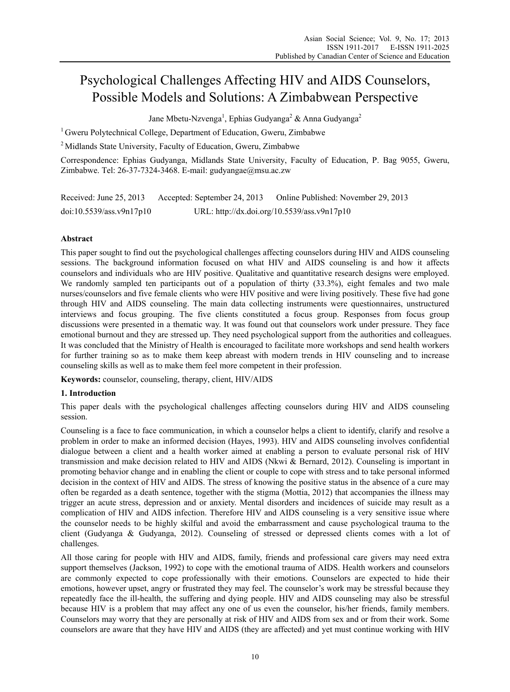# Psychological Challenges Affecting HIV and AIDS Counselors, Possible Models and Solutions: A Zimbabwean Perspective

Jane Mbetu-Nzvenga<sup>1</sup>, Ephias Gudyanga<sup>2</sup> & Anna Gudyanga<sup>2</sup>

<sup>1</sup> Gweru Polytechnical College, Department of Education, Gweru, Zimbabwe

2 Midlands State University, Faculty of Education, Gweru, Zimbabwe

Correspondence: Ephias Gudyanga, Midlands State University, Faculty of Education, P. Bag 9055, Gweru, Zimbabwe. Tel: 26-37-7324-3468. E-mail: gudyangae@msu.ac.zw

| Received: June 25, 2013  | Accepted: September 24, 2013 | Online Published: November 29, 2013         |
|--------------------------|------------------------------|---------------------------------------------|
| doi:10.5539/ass.v9n17p10 |                              | URL: http://dx.doi.org/10.5539/ass.v9n17p10 |

# **Abstract**

This paper sought to find out the psychological challenges affecting counselors during HIV and AIDS counseling sessions. The background information focused on what HIV and AIDS counseling is and how it affects counselors and individuals who are HIV positive. Qualitative and quantitative research designs were employed. We randomly sampled ten participants out of a population of thirty (33.3%), eight females and two male nurses/counselors and five female clients who were HIV positive and were living positively. These five had gone through HIV and AIDS counseling. The main data collecting instruments were questionnaires, unstructured interviews and focus grouping. The five clients constituted a focus group. Responses from focus group discussions were presented in a thematic way. It was found out that counselors work under pressure. They face emotional burnout and they are stressed up. They need psychological support from the authorities and colleagues. It was concluded that the Ministry of Health is encouraged to facilitate more workshops and send health workers for further training so as to make them keep abreast with modern trends in HIV counseling and to increase counseling skills as well as to make them feel more competent in their profession.

**Keywords:** counselor, counseling, therapy, client, HIV/AIDS

# **1. Introduction**

This paper deals with the psychological challenges affecting counselors during HIV and AIDS counseling session.

Counseling is a face to face communication, in which a counselor helps a client to identify, clarify and resolve a problem in order to make an informed decision (Hayes, 1993). HIV and AIDS counseling involves confidential dialogue between a client and a health worker aimed at enabling a person to evaluate personal risk of HIV transmission and make decision related to HIV and AIDS (Nkwi & Bernard, 2012). Counseling is important in promoting behavior change and in enabling the client or couple to cope with stress and to take personal informed decision in the context of HIV and AIDS. The stress of knowing the positive status in the absence of a cure may often be regarded as a death sentence, together with the stigma (Mottia, 2012) that accompanies the illness may trigger an acute stress, depression and or anxiety. Mental disorders and incidences of suicide may result as a complication of HIV and AIDS infection. Therefore HIV and AIDS counseling is a very sensitive issue where the counselor needs to be highly skilful and avoid the embarrassment and cause psychological trauma to the client (Gudyanga & Gudyanga, 2012). Counseling of stressed or depressed clients comes with a lot of challenges.

All those caring for people with HIV and AIDS, family, friends and professional care givers may need extra support themselves (Jackson, 1992) to cope with the emotional trauma of AIDS. Health workers and counselors are commonly expected to cope professionally with their emotions. Counselors are expected to hide their emotions, however upset, angry or frustrated they may feel. The counselor's work may be stressful because they repeatedly face the ill-health, the suffering and dying people. HIV and AIDS counseling may also be stressful because HIV is a problem that may affect any one of us even the counselor, his/her friends, family members. Counselors may worry that they are personally at risk of HIV and AIDS from sex and or from their work. Some counselors are aware that they have HIV and AIDS (they are affected) and yet must continue working with HIV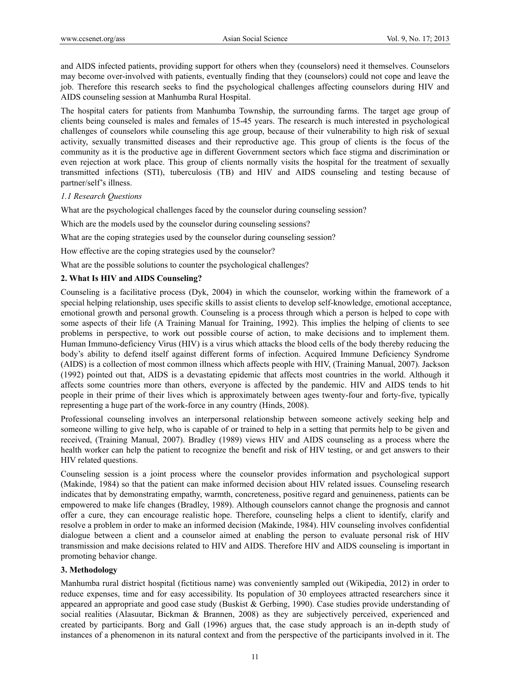and AIDS infected patients, providing support for others when they (counselors) need it themselves. Counselors may become over-involved with patients, eventually finding that they (counselors) could not cope and leave the job. Therefore this research seeks to find the psychological challenges affecting counselors during HIV and AIDS counseling session at Manhumba Rural Hospital.

The hospital caters for patients from Manhumba Township, the surrounding farms. The target age group of clients being counseled is males and females of 15-45 years. The research is much interested in psychological challenges of counselors while counseling this age group, because of their vulnerability to high risk of sexual activity, sexually transmitted diseases and their reproductive age. This group of clients is the focus of the community as it is the productive age in different Government sectors which face stigma and discrimination or even rejection at work place. This group of clients normally visits the hospital for the treatment of sexually transmitted infections (STI), tuberculosis (TB) and HIV and AIDS counseling and testing because of partner/self's illness.

## *1.1 Research Questions*

What are the psychological challenges faced by the counselor during counseling session?

Which are the models used by the counsel or during counseling sessions?

What are the coping strategies used by the counselor during counseling session?

How effective are the coping strategies used by the counselor?

What are the possible solutions to counter the psychological challenges?

## **2. What Is HIV and AIDS Counseling?**

Counseling is a facilitative process (Dyk, 2004) in which the counselor, working within the framework of a special helping relationship, uses specific skills to assist clients to develop self-knowledge, emotional acceptance, emotional growth and personal growth. Counseling is a process through which a person is helped to cope with some aspects of their life (A Training Manual for Training, 1992). This implies the helping of clients to see problems in perspective, to work out possible course of action, to make decisions and to implement them. Human Immuno-deficiency Virus (HIV) is a virus which attacks the blood cells of the body thereby reducing the body's ability to defend itself against different forms of infection. Acquired Immune Deficiency Syndrome (AIDS) is a collection of most common illness which affects people with HIV, (Training Manual, 2007). Jackson (1992) pointed out that, AIDS is a devastating epidemic that affects most countries in the world. Although it affects some countries more than others, everyone is affected by the pandemic. HIV and AIDS tends to hit people in their prime of their lives which is approximately between ages twenty-four and forty-five, typically representing a huge part of the work-force in any country (Hinds, 2008).

Professional counseling involves an interpersonal relationship between someone actively seeking help and someone willing to give help, who is capable of or trained to help in a setting that permits help to be given and received, (Training Manual, 2007). Bradley (1989) views HIV and AIDS counseling as a process where the health worker can help the patient to recognize the benefit and risk of HIV testing, or and get answers to their HIV related questions.

Counseling session is a joint process where the counselor provides information and psychological support (Makinde, 1984) so that the patient can make informed decision about HIV related issues. Counseling research indicates that by demonstrating empathy, warmth, concreteness, positive regard and genuineness, patients can be empowered to make life changes (Bradley, 1989). Although counselors cannot change the prognosis and cannot offer a cure, they can encourage realistic hope. Therefore, counseling helps a client to identify, clarify and resolve a problem in order to make an informed decision (Makinde, 1984). HIV counseling involves confidential dialogue between a client and a counselor aimed at enabling the person to evaluate personal risk of HIV transmission and make decisions related to HIV and AIDS. Therefore HIV and AIDS counseling is important in promoting behavior change.

## **3. Methodology**

Manhumba rural district hospital (fictitious name) was conveniently sampled out (Wikipedia, 2012) in order to reduce expenses, time and for easy accessibility. Its population of 30 employees attracted researchers since it appeared an appropriate and good case study (Buskist & Gerbing, 1990). Case studies provide understanding of social realities (Alasuutar, Bickman & Brannen, 2008) as they are subjectively perceived, experienced and created by participants. Borg and Gall (1996) argues that, the case study approach is an in-depth study of instances of a phenomenon in its natural context and from the perspective of the participants involved in it. The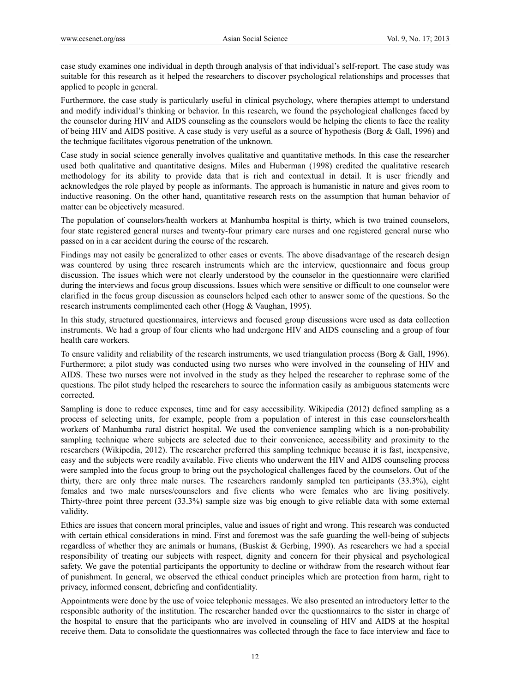case study examines one individual in depth through analysis of that individual's self-report. The case study was suitable for this research as it helped the researchers to discover psychological relationships and processes that applied to people in general.

Furthermore, the case study is particularly useful in clinical psychology, where therapies attempt to understand and modify individual's thinking or behavior. In this research, we found the psychological challenges faced by the counselor during HIV and AIDS counseling as the counselors would be helping the clients to face the reality of being HIV and AIDS positive. A case study is very useful as a source of hypothesis (Borg & Gall, 1996) and the technique facilitates vigorous penetration of the unknown.

Case study in social science generally involves qualitative and quantitative methods. In this case the researcher used both qualitative and quantitative designs. Miles and Huberman (1998) credited the qualitative research methodology for its ability to provide data that is rich and contextual in detail. It is user friendly and acknowledges the role played by people as informants. The approach is humanistic in nature and gives room to inductive reasoning. On the other hand, quantitative research rests on the assumption that human behavior of matter can be objectively measured.

The population of counselors/health workers at Manhumba hospital is thirty, which is two trained counselors, four state registered general nurses and twenty-four primary care nurses and one registered general nurse who passed on in a car accident during the course of the research.

Findings may not easily be generalized to other cases or events. The above disadvantage of the research design was countered by using three research instruments which are the interview, questionnaire and focus group discussion. The issues which were not clearly understood by the counselor in the questionnaire were clarified during the interviews and focus group discussions. Issues which were sensitive or difficult to one counselor were clarified in the focus group discussion as counselors helped each other to answer some of the questions. So the research instruments complimented each other (Hogg & Vaughan, 1995).

In this study, structured questionnaires, interviews and focused group discussions were used as data collection instruments. We had a group of four clients who had undergone HIV and AIDS counseling and a group of four health care workers.

To ensure validity and reliability of the research instruments, we used triangulation process (Borg & Gall, 1996). Furthermore; a pilot study was conducted using two nurses who were involved in the counseling of HIV and AIDS. These two nurses were not involved in the study as they helped the researcher to rephrase some of the questions. The pilot study helped the researchers to source the information easily as ambiguous statements were corrected.

Sampling is done to reduce expenses, time and for easy accessibility. Wikipedia (2012) defined sampling as a process of selecting units, for example, people from a population of interest in this case counselors/health workers of Manhumba rural district hospital. We used the convenience sampling which is a non-probability sampling technique where subjects are selected due to their convenience, accessibility and proximity to the researchers (Wikipedia, 2012). The researcher preferred this sampling technique because it is fast, inexpensive, easy and the subjects were readily available. Five clients who underwent the HIV and AIDS counseling process were sampled into the focus group to bring out the psychological challenges faced by the counselors. Out of the thirty, there are only three male nurses. The researchers randomly sampled ten participants (33.3%), eight females and two male nurses/counselors and five clients who were females who are living positively. Thirty-three point three percent (33.3%) sample size was big enough to give reliable data with some external validity.

Ethics are issues that concern moral principles, value and issues of right and wrong. This research was conducted with certain ethical considerations in mind. First and foremost was the safe guarding the well-being of subjects regardless of whether they are animals or humans, (Buskist & Gerbing, 1990). As researchers we had a special responsibility of treating our subjects with respect, dignity and concern for their physical and psychological safety. We gave the potential participants the opportunity to decline or withdraw from the research without fear of punishment. In general, we observed the ethical conduct principles which are protection from harm, right to privacy, informed consent, debriefing and confidentiality.

Appointments were done by the use of voice telephonic messages. We also presented an introductory letter to the responsible authority of the institution. The researcher handed over the questionnaires to the sister in charge of the hospital to ensure that the participants who are involved in counseling of HIV and AIDS at the hospital receive them. Data to consolidate the questionnaires was collected through the face to face interview and face to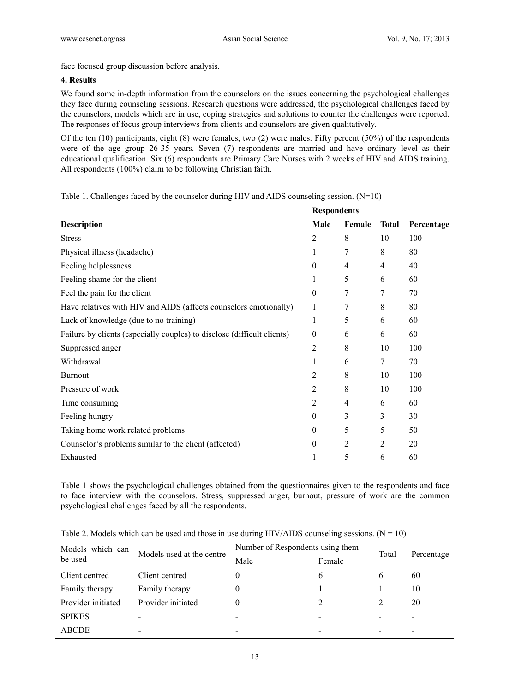face focused group discussion before analysis.

## **4. Results**

We found some in-depth information from the counselors on the issues concerning the psychological challenges they face during counseling sessions. Research questions were addressed, the psychological challenges faced by the counselors, models which are in use, coping strategies and solutions to counter the challenges were reported. The responses of focus group interviews from clients and counselors are given qualitatively.

Of the ten  $(10)$  participants, eight  $(8)$  were females, two  $(2)$  were males. Fifty percent  $(50\%)$  of the respondents were of the age group 26-35 years. Seven (7) respondents are married and have ordinary level as their educational qualification. Six (6) respondents are Primary Care Nurses with 2 weeks of HIV and AIDS training. All respondents (100%) claim to be following Christian faith.

| Table 1. Challenges faced by the counselor during HIV and AIDS counseling session. $(N=10)$ |  |
|---------------------------------------------------------------------------------------------|--|
|                                                                                             |  |

|                                                                         | <b>Respondents</b> |                |                |            |
|-------------------------------------------------------------------------|--------------------|----------------|----------------|------------|
| Description                                                             | Male               | Female         | <b>Total</b>   | Percentage |
| <b>Stress</b>                                                           | $\overline{2}$     | 8              | 10             | 100        |
| Physical illness (headache)                                             | 1                  | 7              | 8              | 80         |
| Feeling helplessness                                                    | $\theta$           | 4              | $\overline{4}$ | 40         |
| Feeling shame for the client                                            | 1                  | 5              | 6              | 60         |
| Feel the pain for the client                                            | $\boldsymbol{0}$   | 7              | 7              | 70         |
| Have relatives with HIV and AIDS (affects counselors emotionally)       | 1                  | 7              | 8              | 80         |
| Lack of knowledge (due to no training)                                  | 1                  | 5              | 6              | 60         |
| Failure by clients (especially couples) to disclose (difficult clients) | $\theta$           | 6              | 6              | 60         |
| Suppressed anger                                                        | $\overline{2}$     | 8              | 10             | 100        |
| Withdrawal                                                              | 1                  | 6              | 7              | 70         |
| <b>Burnout</b>                                                          | $\overline{2}$     | 8              | 10             | 100        |
| Pressure of work                                                        | $\overline{2}$     | 8              | 10             | 100        |
| Time consuming                                                          | 2                  | $\overline{4}$ | 6              | 60         |
| Feeling hungry                                                          | $\boldsymbol{0}$   | 3              | 3              | 30         |
| Taking home work related problems                                       | $\mathbf{0}$       | 5              | 5              | 50         |
| Counselor's problems similar to the client (affected)                   | $\mathbf{0}$       | 2              | $\mathfrak{D}$ | 20         |
| Exhausted                                                               | 1                  | 5              | 6              | 60         |

Table 1 shows the psychological challenges obtained from the questionnaires given to the respondents and face to face interview with the counselors. Stress, suppressed anger, burnout, pressure of work are the common psychological challenges faced by all the respondents.

Table 2. Models which can be used and those in use during HIV/AIDS counseling sessions.  $(N = 10)$ 

| Models which can   | Models used at the centre | Number of Respondents using them | Total                    | Percentage |    |
|--------------------|---------------------------|----------------------------------|--------------------------|------------|----|
| be used            |                           | Male                             | Female                   |            |    |
| Client centred     | Client centred            |                                  | b                        | b          | 60 |
| Family therapy     | Family therapy            | 0                                |                          |            | 10 |
| Provider initiated | Provider initiated        |                                  |                          |            | 20 |
| <b>SPIKES</b>      | -                         | -                                | $\overline{\phantom{0}}$ |            |    |
| <b>ABCDE</b>       |                           | ۰                                |                          |            |    |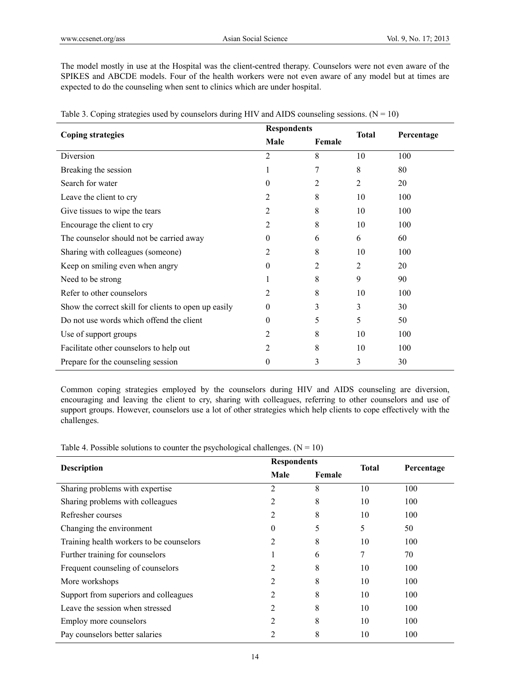The model mostly in use at the Hospital was the client-centred therapy. Counselors were not even aware of the SPIKES and ABCDE models. Four of the health workers were not even aware of any model but at times are expected to do the counseling when sent to clinics which are under hospital.

|                                                      | <b>Respondents</b> |        | <b>Total</b> |            |
|------------------------------------------------------|--------------------|--------|--------------|------------|
| <b>Coping strategies</b>                             | Male               | Female |              | Percentage |
| Diversion                                            | 2                  | 8      | 10           | 100        |
| Breaking the session                                 | 1                  | 7      | 8            | 80         |
| Search for water                                     | $\theta$           | 2      | 2            | 20         |
| Leave the client to cry                              | 2                  | 8      | 10           | 100        |
| Give tissues to wipe the tears                       | 2                  | 8      | 10           | 100        |
| Encourage the client to cry                          | 2                  | 8      | 10           | 100        |
| The counselor should not be carried away             | $\theta$           | 6      | 6            | 60         |
| Sharing with colleagues (someone)                    | 2                  | 8      | 10           | 100        |
| Keep on smiling even when angry                      | $\theta$           | 2      | 2            | 20         |
| Need to be strong                                    |                    | 8      | 9            | 90         |
| Refer to other counselors                            | 2                  | 8      | 10           | 100        |
| Show the correct skill for clients to open up easily | $\theta$           | 3      | 3            | 30         |
| Do not use words which offend the client             | $\theta$           | 5      | 5            | 50         |
| Use of support groups                                | 2                  | 8      | 10           | 100        |
| Facilitate other counselors to help out              | 2                  | 8      | 10           | 100        |
| Prepare for the counseling session                   | $\theta$           | 3      | 3            | 30         |

Table 3. Coping strategies used by counselors during HIV and AIDS counseling sessions. ( $N = 10$ )

Common coping strategies employed by the counselors during HIV and AIDS counseling are diversion, encouraging and leaving the client to cry, sharing with colleagues, referring to other counselors and use of support groups. However, counselors use a lot of other strategies which help clients to cope effectively with the challenges.

Table 4. Possible solutions to counter the psychological challenges.  $(N = 10)$ 

|                                          | <b>Respondents</b> |        |              |            |
|------------------------------------------|--------------------|--------|--------------|------------|
| <b>Description</b>                       | Male               | Female | <b>Total</b> | Percentage |
| Sharing problems with expertise          | $\overline{2}$     | 8      | 10           | 100        |
| Sharing problems with colleagues         | $\overline{2}$     | 8      | 10           | 100        |
| Refresher courses                        | 2                  | 8      | 10           | 100        |
| Changing the environment                 | $\overline{0}$     | 5      | 5            | 50         |
| Training health workers to be counselors | $\overline{c}$     | 8      | 10           | 100        |
| Further training for counselors          |                    | 6      | 7            | 70         |
| Frequent counseling of counselors        | 2                  | 8      | 10           | 100        |
| More workshops                           | $\overline{c}$     | 8      | 10           | 100        |
| Support from superiors and colleagues    | 2                  | 8      | 10           | 100        |
| Leave the session when stressed          | 2                  | 8      | 10           | 100        |
| Employ more counselors                   | $\overline{2}$     | 8      | 10           | 100        |
| Pay counselors better salaries           | 2                  | 8      | 10           | 100        |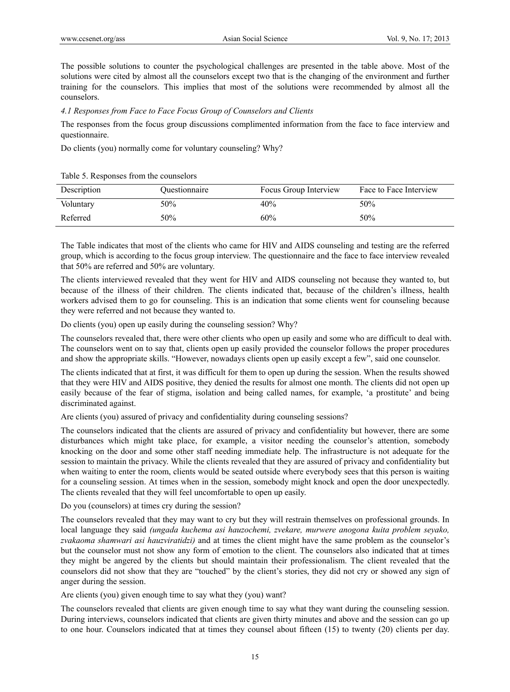The possible solutions to counter the psychological challenges are presented in the table above. Most of the solutions were cited by almost all the counselors except two that is the changing of the environment and further training for the counselors. This implies that most of the solutions were recommended by almost all the counselors.

#### *4.1 Responses from Face to Face Focus Group of Counselors and Clients*

The responses from the focus group discussions complimented information from the face to face interview and questionnaire.

Do clients (you) normally come for voluntary counseling? Why?

| Description | <i><b>Ouestionnaire</b></i> | Focus Group Interview | Face to Face Interview |
|-------------|-----------------------------|-----------------------|------------------------|
| Voluntary   | 50%                         | 40%                   | 50%                    |
| Referred    | 50%                         | 60%                   | 50%                    |

The Table indicates that most of the clients who came for HIV and AIDS counseling and testing are the referred group, which is according to the focus group interview. The questionnaire and the face to face interview revealed that 50% are referred and 50% are voluntary.

The clients interviewed revealed that they went for HIV and AIDS counseling not because they wanted to, but because of the illness of their children. The clients indicated that, because of the children's illness, health workers advised them to go for counseling. This is an indication that some clients went for counseling because they were referred and not because they wanted to.

Do clients (you) open up easily during the counseling session? Why?

The counselors revealed that, there were other clients who open up easily and some who are difficult to deal with. The counselors went on to say that, clients open up easily provided the counselor follows the proper procedures and show the appropriate skills. "However, nowadays clients open up easily except a few", said one counselor.

The clients indicated that at first, it was difficult for them to open up during the session. When the results showed that they were HIV and AIDS positive, they denied the results for almost one month. The clients did not open up easily because of the fear of stigma, isolation and being called names, for example, 'a prostitute' and being discriminated against.

Are clients (you) assured of privacy and confidentiality during counseling sessions?

The counselors indicated that the clients are assured of privacy and confidentiality but however, there are some disturbances which might take place, for example, a visitor needing the counselor's attention, somebody knocking on the door and some other staff needing immediate help. The infrastructure is not adequate for the session to maintain the privacy. While the clients revealed that they are assured of privacy and confidentiality but when waiting to enter the room, clients would be seated outside where everybody sees that this person is waiting for a counseling session. At times when in the session, somebody might knock and open the door unexpectedly. The clients revealed that they will feel uncomfortable to open up easily.

Do you (counselors) at times cry during the session?

The counselors revealed that they may want to cry but they will restrain themselves on professional grounds. In local language they said *(ungada kuchema asi hauzochemi, zvekare, murwere anogona kuita problem seyako, zvakaoma shamwari asi hauzviratidzi)* and at times the client might have the same problem as the counselor's but the counselor must not show any form of emotion to the client. The counselors also indicated that at times they might be angered by the clients but should maintain their professionalism. The client revealed that the counselors did not show that they are "touched" by the client's stories, they did not cry or showed any sign of anger during the session.

Are clients (you) given enough time to say what they (you) want?

The counselors revealed that clients are given enough time to say what they want during the counseling session. During interviews, counselors indicated that clients are given thirty minutes and above and the session can go up to one hour. Counselors indicated that at times they counsel about fifteen (15) to twenty (20) clients per day.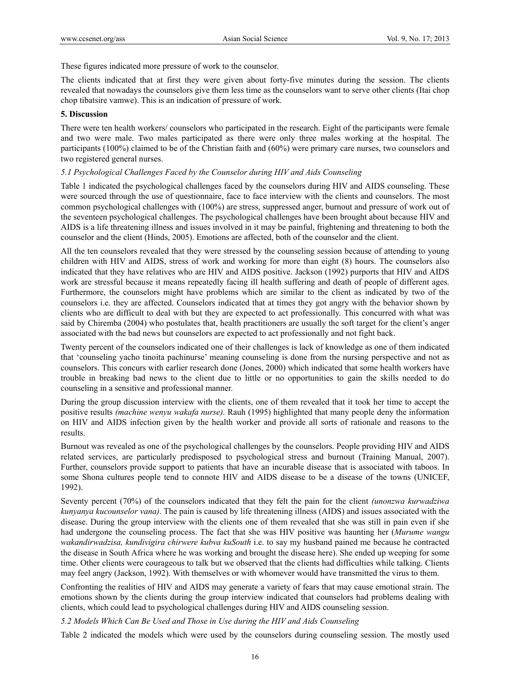These figures indicated more pressure of work to the counselor.

The clients indicated that at first they were given about forty-five minutes during the session. The clients revealed that nowadays the counselors give them less time as the counselors want to serve other clients (Itai chop chop tibatsire vamwe). This is an indication of pressure of work.

## **5. Discussion**

There were ten health workers/ counselors who participated in the research. Eight of the participants were female and two were male. Two males participated as there were only three males working at the hospital. The participants (100%) claimed to be of the Christian faith and (60%) were primary care nurses, two counselors and two registered general nurses.

## *5.1 Psychological Challenges Faced by the Counselor during HIV and Aids Counseling*

Table 1 indicated the psychological challenges faced by the counselors during HIV and AIDS counseling. These were sourced through the use of questionnaire, face to face interview with the clients and counselors. The most common psychological challenges with (100%) are stress, suppressed anger, burnout and pressure of work out of the seventeen psychological challenges. The psychological challenges have been brought about because HIV and AIDS is a life threatening illness and issues involved in it may be painful, frightening and threatening to both the counselor and the client (Hinds, 2005). Emotions are affected, both of the counselor and the client.

All the ten counselors revealed that they were stressed by the counseling session because of attending to young children with HIV and AIDS, stress of work and working for more than eight (8) hours. The counselors also indicated that they have relatives who are HIV and AIDS positive. Jackson (1992) purports that HIV and AIDS work are stressful because it means repeatedly facing ill health suffering and death of people of different ages. Furthermore, the counselors might have problems which are similar to the client as indicated by two of the counselors i.e. they are affected. Counselors indicated that at times they got angry with the behavior shown by clients who are difficult to deal with but they are expected to act professionally. This concurred with what was said by Chiremba (2004) who postulates that, health practitioners are usually the soft target for the client's anger associated with the bad news but counselors are expected to act professionally and not fight back.

Twenty percent of the counselors indicated one of their challenges is lack of knowledge as one of them indicated that 'counseling yacho tinoita pachinurse' meaning counseling is done from the nursing perspective and not as counselors. This concurs with earlier research done (Jones, 2000) which indicated that some health workers have trouble in breaking bad news to the client due to little or no opportunities to gain the skills needed to do counseling in a sensitive and professional manner.

During the group discussion interview with the clients, one of them revealed that it took her time to accept the positive results *(machine wenyu wakafa nurse)*. Rauh (1995) highlighted that many people deny the information on HIV and AIDS infection given by the health worker and provide all sorts of rationale and reasons to the results.

Burnout was revealed as one of the psychological challenges by the counselors. People providing HIV and AIDS related services, are particularly predisposed to psychological stress and burnout (Training Manual, 2007). Further, counselors provide support to patients that have an incurable disease that is associated with taboos. In some Shona cultures people tend to connote HIV and AIDS disease to be a disease of the towns (UNICEF, 1992).

Seventy percent (70%) of the counselors indicated that they felt the pain for the client *(unonzwa kurwadziwa kunyanya kucounselor vana)*. The pain is caused by life threatening illness (AIDS) and issues associated with the disease. During the group interview with the clients one of them revealed that she was still in pain even if she had undergone the counseling process. The fact that she was HIV positive was haunting her (*Murume wangu wakandirwadzisa, kundivigira chirwere kubva kuSouth* i.e. to say my husband pained me because he contracted the disease in South Africa where he was working and brought the disease here). She ended up weeping for some time. Other clients were courageous to talk but we observed that the clients had difficulties while talking. Clients may feel angry (Jackson, 1992). With themselves or with whomever would have transmitted the virus to them.

Confronting the realities of HIV and AIDS may generate a variety of fears that may cause emotional strain. The emotions shown by the clients during the group interview indicated that counselors had problems dealing with clients, which could lead to psychological challenges during HIV and AIDS counseling session.

*5.2 Models Which Can Be Used and Those in Use during the HIV and Aids Counseling* 

Table 2 indicated the models which were used by the counselors during counseling session. The mostly used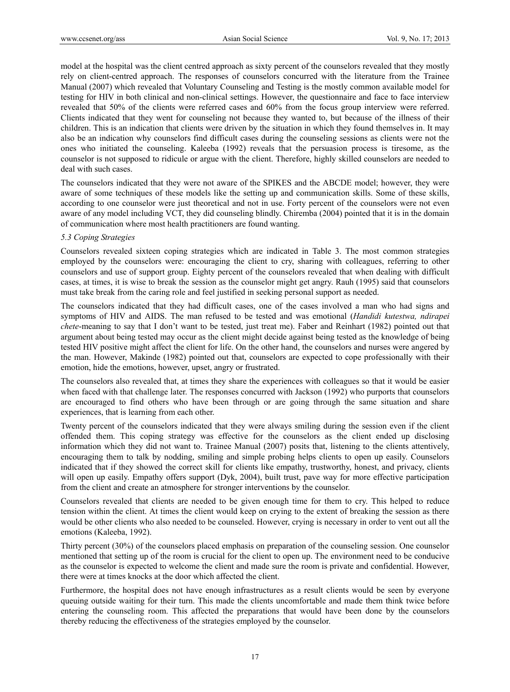model at the hospital was the client centred approach as sixty percent of the counselors revealed that they mostly rely on client-centred approach. The responses of counselors concurred with the literature from the Trainee Manual (2007) which revealed that Voluntary Counseling and Testing is the mostly common available model for testing for HIV in both clinical and non-clinical settings. However, the questionnaire and face to face interview revealed that 50% of the clients were referred cases and 60% from the focus group interview were referred. Clients indicated that they went for counseling not because they wanted to, but because of the illness of their children. This is an indication that clients were driven by the situation in which they found themselves in. It may also be an indication why counselors find difficult cases during the counseling sessions as clients were not the ones who initiated the counseling. Kaleeba (1992) reveals that the persuasion process is tiresome, as the counselor is not supposed to ridicule or argue with the client. Therefore, highly skilled counselors are needed to deal with such cases.

The counselors indicated that they were not aware of the SPIKES and the ABCDE model; however, they were aware of some techniques of these models like the setting up and communication skills. Some of these skills, according to one counselor were just theoretical and not in use. Forty percent of the counselors were not even aware of any model including VCT, they did counseling blindly. Chiremba (2004) pointed that it is in the domain of communication where most health practitioners are found wanting.

#### *5.3 Coping Strategies*

Counselors revealed sixteen coping strategies which are indicated in Table 3. The most common strategies employed by the counselors were: encouraging the client to cry, sharing with colleagues, referring to other counselors and use of support group. Eighty percent of the counselors revealed that when dealing with difficult cases, at times, it is wise to break the session as the counselor might get angry. Rauh (1995) said that counselors must take break from the caring role and feel justified in seeking personal support as needed.

The counselors indicated that they had difficult cases, one of the cases involved a man who had signs and symptoms of HIV and AIDS. The man refused to be tested and was emotional (*Handidi kutestwa, ndirapei chete*-meaning to say that I don't want to be tested, just treat me). Faber and Reinhart (1982) pointed out that argument about being tested may occur as the client might decide against being tested as the knowledge of being tested HIV positive might affect the client for life. On the other hand, the counselors and nurses were angered by the man. However, Makinde (1982) pointed out that, counselors are expected to cope professionally with their emotion, hide the emotions, however, upset, angry or frustrated.

The counselors also revealed that, at times they share the experiences with colleagues so that it would be easier when faced with that challenge later. The responses concurred with Jackson (1992) who purports that counselors are encouraged to find others who have been through or are going through the same situation and share experiences, that is learning from each other.

Twenty percent of the counselors indicated that they were always smiling during the session even if the client offended them. This coping strategy was effective for the counselors as the client ended up disclosing information which they did not want to. Trainee Manual (2007) posits that, listening to the clients attentively, encouraging them to talk by nodding, smiling and simple probing helps clients to open up easily. Counselors indicated that if they showed the correct skill for clients like empathy, trustworthy, honest, and privacy, clients will open up easily. Empathy offers support (Dyk, 2004), built trust, pave way for more effective participation from the client and create an atmosphere for stronger interventions by the counselor.

Counselors revealed that clients are needed to be given enough time for them to cry. This helped to reduce tension within the client. At times the client would keep on crying to the extent of breaking the session as there would be other clients who also needed to be counseled. However, crying is necessary in order to vent out all the emotions (Kaleeba, 1992).

Thirty percent (30%) of the counselors placed emphasis on preparation of the counseling session. One counselor mentioned that setting up of the room is crucial for the client to open up. The environment need to be conducive as the counselor is expected to welcome the client and made sure the room is private and confidential. However, there were at times knocks at the door which affected the client.

Furthermore, the hospital does not have enough infrastructures as a result clients would be seen by everyone queuing outside waiting for their turn. This made the clients uncomfortable and made them think twice before entering the counseling room. This affected the preparations that would have been done by the counselors thereby reducing the effectiveness of the strategies employed by the counselor.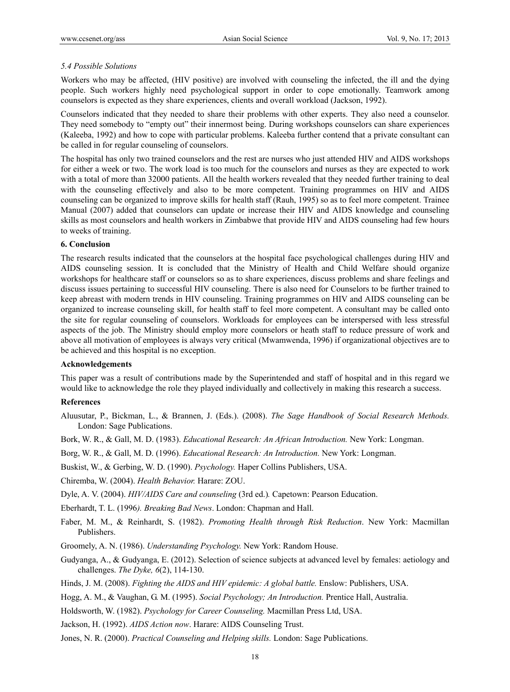# *5.4 Possible Solutions*

Workers who may be affected, (HIV positive) are involved with counseling the infected, the ill and the dying people. Such workers highly need psychological support in order to cope emotionally. Teamwork among counselors is expected as they share experiences, clients and overall workload (Jackson, 1992).

Counselors indicated that they needed to share their problems with other experts. They also need a counselor. They need somebody to "empty out" their innermost being. During workshops counselors can share experiences (Kaleeba, 1992) and how to cope with particular problems. Kaleeba further contend that a private consultant can be called in for regular counseling of counselors.

The hospital has only two trained counselors and the rest are nurses who just attended HIV and AIDS workshops for either a week or two. The work load is too much for the counselors and nurses as they are expected to work with a total of more than 32000 patients. All the health workers revealed that they needed further training to deal with the counseling effectively and also to be more competent. Training programmes on HIV and AIDS counseling can be organized to improve skills for health staff (Rauh, 1995) so as to feel more competent. Trainee Manual (2007) added that counselors can update or increase their HIV and AIDS knowledge and counseling skills as most counselors and health workers in Zimbabwe that provide HIV and AIDS counseling had few hours to weeks of training.

## **6. Conclusion**

The research results indicated that the counselors at the hospital face psychological challenges during HIV and AIDS counseling session. It is concluded that the Ministry of Health and Child Welfare should organize workshops for healthcare staff or counselors so as to share experiences, discuss problems and share feelings and discuss issues pertaining to successful HIV counseling. There is also need for Counselors to be further trained to keep abreast with modern trends in HIV counseling. Training programmes on HIV and AIDS counseling can be organized to increase counseling skill, for health staff to feel more competent. A consultant may be called onto the site for regular counseling of counselors. Workloads for employees can be interspersed with less stressful aspects of the job. The Ministry should employ more counselors or heath staff to reduce pressure of work and above all motivation of employees is always very critical (Mwamwenda, 1996) if organizational objectives are to be achieved and this hospital is no exception.

## **Acknowledgements**

This paper was a result of contributions made by the Superintended and staff of hospital and in this regard we would like to acknowledge the role they played individually and collectively in making this research a success.

## **References**

- Aluusutar, P., Bickman, L., & Brannen, J. (Eds.). (2008). *The Sage Handbook of Social Research Methods.* London: Sage Publications.
- Bork, W. R., & Gall, M. D. (1983). *Educational Research: An African Introduction.* New York: Longman.

Borg, W. R., & Gall, M. D. (1996). *Educational Research: An Introduction.* New York: Longman.

Buskist, W., & Gerbing, W. D. (1990). *Psychology.* Haper Collins Publishers, USA.

Chiremba, W. (2004). *Health Behavior.* Harare: ZOU.

- Dyle, A. V. (2004). *HIV/AIDS Care and counseling* (3rd ed.)*.* Capetown: Pearson Education.
- Eberhardt, T. L. (1996*). Breaking Bad News*. London: Chapman and Hall.
- Faber, M. M., & Reinhardt, S. (1982). *Promoting Health through Risk Reduction*. New York: Macmillan Publishers.
- Groomely, A. N. (1986). *Understanding Psychology.* New York: Random House.
- Gudyanga, A., & Gudyanga, E. (2012). Selection of science subjects at advanced level by females: aetiology and challenges. *The Dyke, 6*(2), 114-130.

Hinds, J. M. (2008). *Fighting the AIDS and HIV epidemic: A global battle.* Enslow: Publishers, USA.

Hogg, A. M., & Vaughan, G. M. (1995). *Social Psychology; An Introduction.* Prentice Hall, Australia.

Holdsworth, W. (1982). *Psychology for Career Counseling.* Macmillan Press Ltd, USA.

Jackson, H. (1992). *AIDS Action now*. Harare: AIDS Counseling Trust.

Jones, N. R. (2000). *Practical Counseling and Helping skills.* London: Sage Publications.